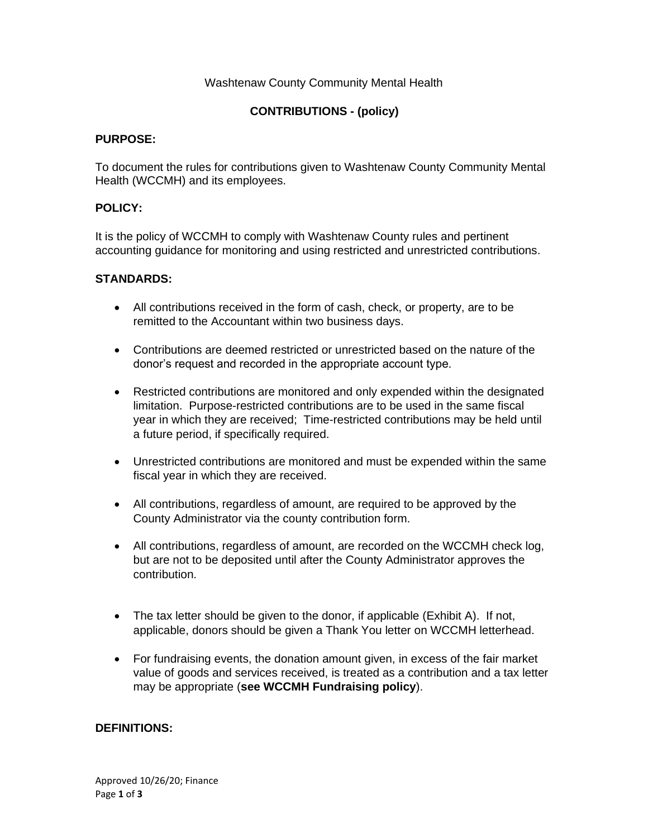## Washtenaw County Community Mental Health

# **CONTRIBUTIONS - (policy)**

#### **PURPOSE:**

To document the rules for contributions given to Washtenaw County Community Mental Health (WCCMH) and its employees.

#### **POLICY:**

It is the policy of WCCMH to comply with Washtenaw County rules and pertinent accounting guidance for monitoring and using restricted and unrestricted contributions.

### **STANDARDS:**

- All contributions received in the form of cash, check, or property, are to be remitted to the Accountant within two business days.
- Contributions are deemed restricted or unrestricted based on the nature of the donor's request and recorded in the appropriate account type.
- Restricted contributions are monitored and only expended within the designated limitation. Purpose-restricted contributions are to be used in the same fiscal year in which they are received; Time-restricted contributions may be held until a future period, if specifically required.
- Unrestricted contributions are monitored and must be expended within the same fiscal year in which they are received.
- All contributions, regardless of amount, are required to be approved by the County Administrator via the county contribution form.
- All contributions, regardless of amount, are recorded on the WCCMH check log, but are not to be deposited until after the County Administrator approves the contribution.
- The tax letter should be given to the donor, if applicable (Exhibit A). If not, applicable, donors should be given a Thank You letter on WCCMH letterhead.
- For fundraising events, the donation amount given, in excess of the fair market value of goods and services received, is treated as a contribution and a tax letter may be appropriate (**see WCCMH Fundraising policy**).

### **DEFINITIONS:**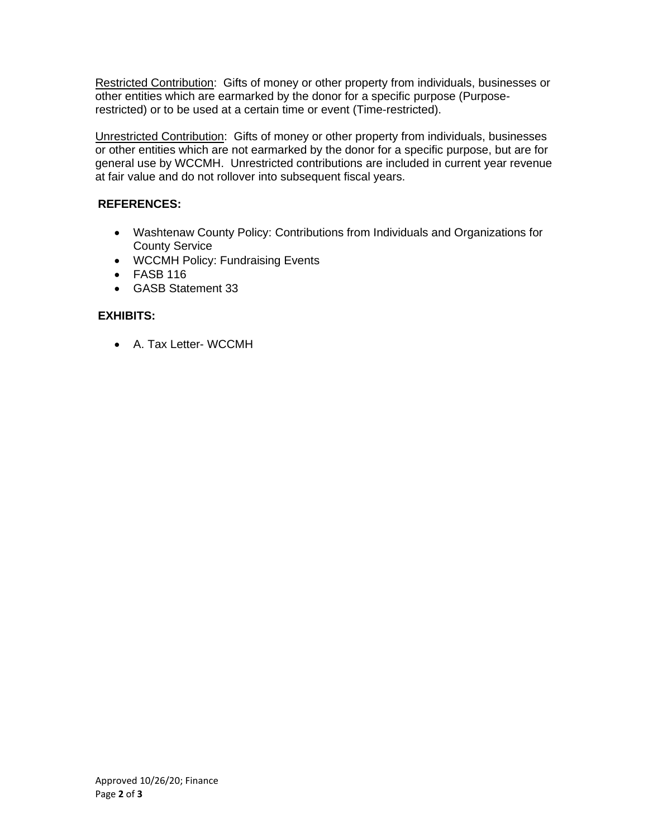Restricted Contribution: Gifts of money or other property from individuals, businesses or other entities which are earmarked by the donor for a specific purpose (Purposerestricted) or to be used at a certain time or event (Time-restricted).

Unrestricted Contribution: Gifts of money or other property from individuals, businesses or other entities which are not earmarked by the donor for a specific purpose, but are for general use by WCCMH. Unrestricted contributions are included in current year revenue at fair value and do not rollover into subsequent fiscal years.

# **REFERENCES:**

- Washtenaw County Policy: Contributions from Individuals and Organizations for County Service
- WCCMH Policy: Fundraising Events
- FASB 116
- GASB Statement 33

## **EXHIBITS:**

• A. Tax Letter- WCCMH